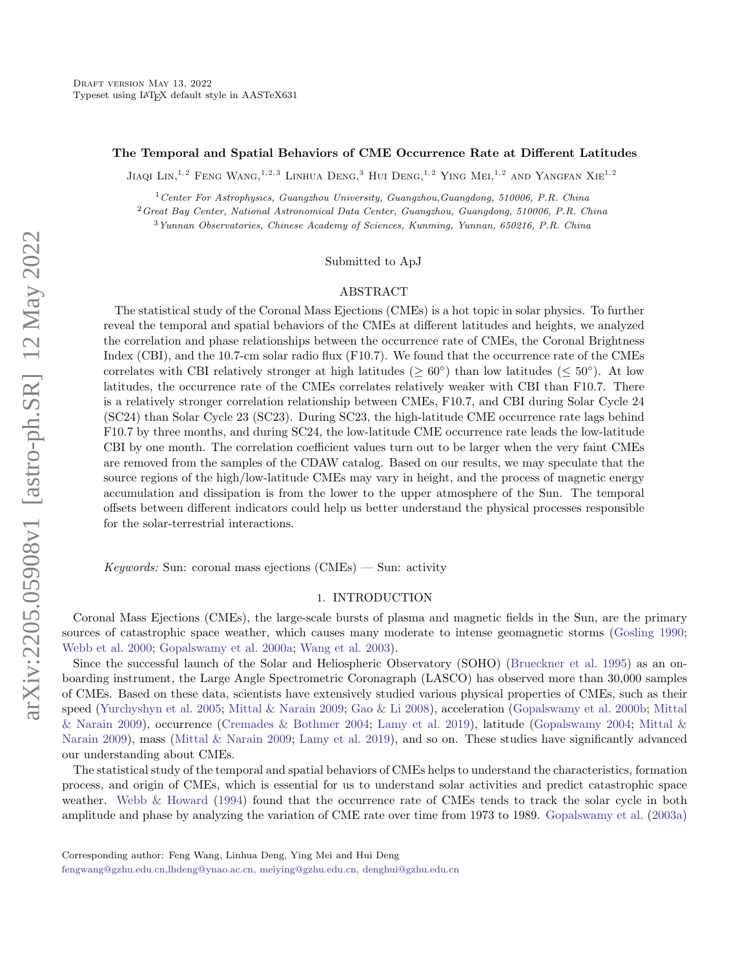## The Temporal and Spatial Behaviors of CME Occurrence Rate at Different Latitudes

JIAQI LIN,<sup>1,2</sup> FENG WANG,<sup>1,2,3</sup> LINHUA DENG,<sup>3</sup> HUI DENG,<sup>1,2</sup> YING MEI,<sup>1,2</sup> AND YANGFAN XIE<sup>1,2</sup>

<sup>1</sup>Center For Astrophysics, Guangzhou University, Guangzhou,Guangdong, 510006, P.R. China

<sup>2</sup>Great Bay Center, National Astronomical Data Center, Guangzhou, Guangdong, 510006, P.R. China

<sup>3</sup>Yunnan Observatories, Chinese Academy of Sciences, Kunming, Yunnan, 650216, P.R. China

Submitted to ApJ

### ABSTRACT

The statistical study of the Coronal Mass Ejections (CMEs) is a hot topic in solar physics. To further reveal the temporal and spatial behaviors of the CMEs at different latitudes and heights, we analyzed the correlation and phase relationships between the occurrence rate of CMEs, the Coronal Brightness Index (CBI), and the 10.7-cm solar radio flux (F10.7). We found that the occurrence rate of the CMEs correlates with CBI relatively stronger at high latitudes ( $\geq 60^{\circ}$ ) than low latitudes ( $\leq 50^{\circ}$ ). At low latitudes, the occurrence rate of the CMEs correlates relatively weaker with CBI than F10.7. There is a relatively stronger correlation relationship between CMEs, F10.7, and CBI during Solar Cycle 24 (SC24) than Solar Cycle 23 (SC23). During SC23, the high-latitude CME occurrence rate lags behind F10.7 by three months, and during SC24, the low-latitude CME occurrence rate leads the low-latitude CBI by one month. The correlation coefficient values turn out to be larger when the very faint CMEs are removed from the samples of the CDAW catalog. Based on our results, we may speculate that the source regions of the high/low-latitude CMEs may vary in height, and the process of magnetic energy accumulation and dissipation is from the lower to the upper atmosphere of the Sun. The temporal offsets between different indicators could help us better understand the physical processes responsible for the solar-terrestrial interactions.

*Keywords:* Sun: coronal mass ejections  $(CMEs)$  — Sun: activity

### 1. INTRODUCTION

Coronal Mass Ejections (CMEs), the large-scale bursts of plasma and magnetic fields in the Sun, are the primary sources of catastrophic space weather, which causes many moderate to intense geomagnetic storms [\(Gosling](#page-10-0) [1990;](#page-10-0) [Webb et al.](#page-10-1) [2000;](#page-10-1) [Gopalswamy et al.](#page-9-0) [2000a;](#page-9-0) [Wang et al.](#page-10-2) [2003\)](#page-10-2).

Since the successful launch of the Solar and Heliospheric Observatory (SOHO) [\(Brueckner et al.](#page-9-1) [1995\)](#page-9-1) as an onboarding instrument, the Large Angle Spectrometric Coronagraph (LASCO) has observed more than 30,000 samples of CMEs. Based on these data, scientists have extensively studied various physical properties of CMEs, such as their speed [\(Yurchyshyn et al.](#page-10-3) [2005;](#page-10-3) [Mittal & Narain](#page-10-4) [2009;](#page-10-4) [Gao & Li](#page-9-2) [2008\)](#page-9-2), acceleration [\(Gopalswamy et al.](#page-9-3) [2000b;](#page-9-3) [Mittal](#page-10-4) [& Narain](#page-10-4) [2009\)](#page-10-4), occurrence [\(Cremades & Bothmer](#page-9-4) [2004;](#page-9-4) [Lamy et al.](#page-10-5) [2019\)](#page-10-5), latitude [\(Gopalswamy](#page-9-5) [2004;](#page-9-5) [Mittal &](#page-10-4) [Narain](#page-10-4) [2009\)](#page-10-4), mass [\(Mittal & Narain](#page-10-4) [2009;](#page-10-4) [Lamy et al.](#page-10-5) [2019\)](#page-10-5), and so on. These studies have significantly advanced our understanding about CMEs.

The statistical study of the temporal and spatial behaviors of CMEs helps to understand the characteristics, formation process, and origin of CMEs, which is essential for us to understand solar activities and predict catastrophic space weather. [Webb & Howard](#page-10-6) [\(1994\)](#page-10-6) found that the occurrence rate of CMEs tends to track the solar cycle in both amplitude and phase by analyzing the variation of CME rate over time from 1973 to 1989. [Gopalswamy et al.](#page-9-6) [\(2003a\)](#page-9-6)

[fengwang@gzhu.edu.cn,lhdeng@ynao.ac.cn, meiying@gzhu.edu.cn, denghui@gzhu.edu.cn](mailto: fengwang@gzhu.edu.cn,lhdeng@ynao.ac.cn, meiying@gzhu.edu.cn, denghui@gzhu.edu.cn)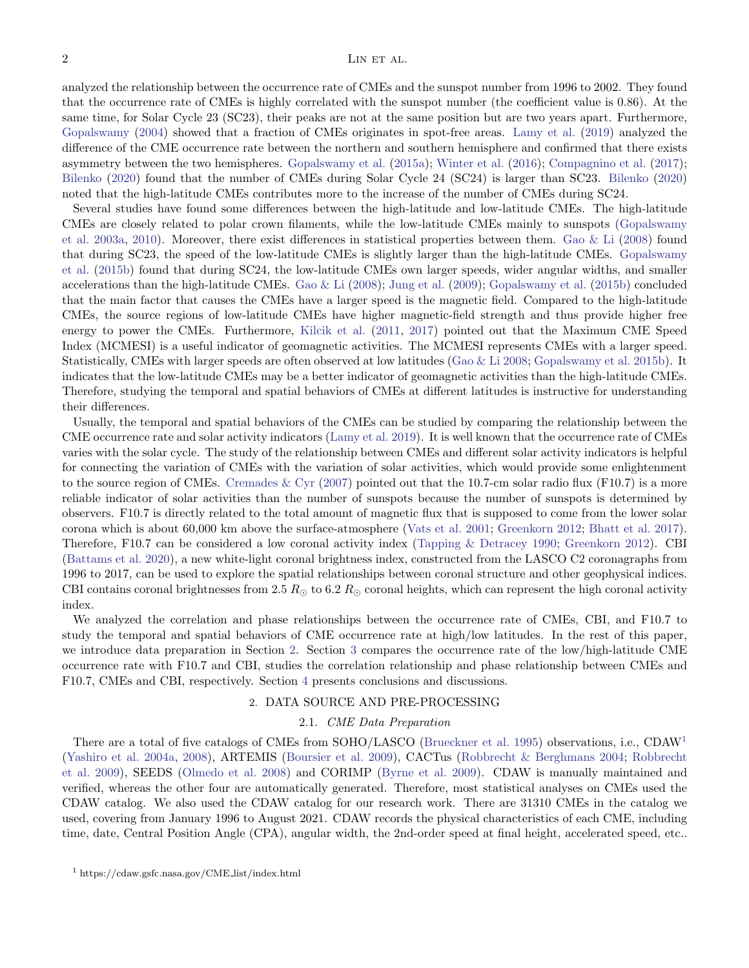analyzed the relationship between the occurrence rate of CMEs and the sunspot number from 1996 to 2002. They found that the occurrence rate of CMEs is highly correlated with the sunspot number (the coefficient value is 0.86). At the same time, for Solar Cycle 23 (SC23), their peaks are not at the same position but are two years apart. Furthermore, [Gopalswamy](#page-9-5) [\(2004\)](#page-9-5) showed that a fraction of CMEs originates in spot-free areas. [Lamy et al.](#page-10-5) [\(2019\)](#page-10-5) analyzed the difference of the CME occurrence rate between the northern and southern hemisphere and confirmed that there exists asymmetry between the two hemispheres. [Gopalswamy et al.](#page-10-7) [\(2015a\)](#page-10-7); [Winter et al.](#page-10-8) [\(2016\)](#page-10-8); [Compagnino et al.](#page-9-7) [\(2017\)](#page-9-7); [Bilenko](#page-9-8) [\(2020\)](#page-9-8) found that the number of CMEs during Solar Cycle 24 (SC24) is larger than SC23. [Bilenko](#page-9-8) [\(2020\)](#page-9-8) noted that the high-latitude CMEs contributes more to the increase of the number of CMEs during SC24.

Several studies have found some differences between the high-latitude and low-latitude CMEs. The high-latitude CMEs are closely related to polar crown filaments, while the low-latitude CMEs mainly to sunspots [\(Gopalswamy](#page-9-6) [et al.](#page-9-6) [2003a,](#page-9-6) [2010\)](#page-9-9). Moreover, there exist differences in statistical properties between them. [Gao & Li](#page-9-2) [\(2008\)](#page-9-2) found that during SC23, the speed of the low-latitude CMEs is slightly larger than the high-latitude CMEs. [Gopalswamy](#page-10-9) [et al.](#page-10-9) [\(2015b\)](#page-10-9) found that during SC24, the low-latitude CMEs own larger speeds, wider angular widths, and smaller accelerations than the high-latitude CMEs. [Gao & Li](#page-9-2) [\(2008\)](#page-9-2); [Jung et al.](#page-10-10) [\(2009\)](#page-10-10); [Gopalswamy et al.](#page-10-9) [\(2015b\)](#page-10-9) concluded that the main factor that causes the CMEs have a larger speed is the magnetic field. Compared to the high-latitude CMEs, the source regions of low-latitude CMEs have higher magnetic-field strength and thus provide higher free energy to power the CMEs. Furthermore, [Kilcik et al.](#page-10-11) [\(2011,](#page-10-11) [2017\)](#page-10-12) pointed out that the Maximum CME Speed Index (MCMESI) is a useful indicator of geomagnetic activities. The MCMESI represents CMEs with a larger speed. Statistically, CMEs with larger speeds are often observed at low latitudes [\(Gao & Li](#page-9-2) [2008;](#page-9-2) [Gopalswamy et al.](#page-10-9) [2015b\)](#page-10-9). It indicates that the low-latitude CMEs may be a better indicator of geomagnetic activities than the high-latitude CMEs. Therefore, studying the temporal and spatial behaviors of CMEs at different latitudes is instructive for understanding their differences.

Usually, the temporal and spatial behaviors of the CMEs can be studied by comparing the relationship between the CME occurrence rate and solar activity indicators [\(Lamy et al.](#page-10-5) [2019\)](#page-10-5). It is well known that the occurrence rate of CMEs varies with the solar cycle. The study of the relationship between CMEs and different solar activity indicators is helpful for connecting the variation of CMEs with the variation of solar activities, which would provide some enlightenment to the source region of CMEs. Cremades  $&\text{Cyr}$  [\(2007\)](#page-9-10) pointed out that the 10.7-cm solar radio flux (F10.7) is a more reliable indicator of solar activities than the number of sunspots because the number of sunspots is determined by observers. F10.7 is directly related to the total amount of magnetic flux that is supposed to come from the lower solar corona which is about 60,000 km above the surface-atmosphere [\(Vats et al.](#page-10-13) [2001;](#page-10-13) [Greenkorn](#page-10-14) [2012;](#page-10-14) [Bhatt et al.](#page-9-11) [2017\)](#page-9-11). Therefore, F10.7 can be considered a low coronal activity index [\(Tapping & Detracey](#page-10-15) [1990;](#page-10-15) [Greenkorn](#page-10-14) [2012\)](#page-10-14). CBI [\(Battams et al.](#page-9-12) [2020\)](#page-9-12), a new white-light coronal brightness index, constructed from the LASCO C2 coronagraphs from 1996 to 2017, can be used to explore the spatial relationships between coronal structure and other geophysical indices. CBI contains coronal brightnesses from 2.5  $R_{\odot}$  to 6.2  $R_{\odot}$  coronal heights, which can represent the high coronal activity index.

We analyzed the correlation and phase relationships between the occurrence rate of CMEs, CBI, and F10.7 to study the temporal and spatial behaviors of CME occurrence rate at high/low latitudes. In the rest of this paper, we introduce data preparation in Section [2.](#page-1-0) Section [3](#page-4-0) compares the occurrence rate of the low/high-latitude CME occurrence rate with F10.7 and CBI, studies the correlation relationship and phase relationship between CMEs and F10.7, CMEs and CBI, respectively. Section [4](#page-6-0) presents conclusions and discussions.

#### 2. DATA SOURCE AND PRE-PROCESSING

#### 2.1. CME Data Preparation

<span id="page-1-0"></span>There are a total of five catalogs of CMEs from SOHO/LASCO [\(Brueckner et al.](#page-9-1) [1995\)](#page-9-1) observations, i.e., CDAW<sup>[1](#page-1-1)</sup> [\(Yashiro et al.](#page-10-16) [2004a,](#page-10-16) [2008\)](#page-10-17), ARTEMIS [\(Boursier et al.](#page-9-13) [2009\)](#page-9-13), CACTus [\(Robbrecht & Berghmans](#page-10-18) [2004;](#page-10-18) [Robbrecht](#page-10-19) [et al.](#page-10-19) [2009\)](#page-10-19), SEEDS [\(Olmedo et al.](#page-10-20) [2008\)](#page-10-20) and CORIMP [\(Byrne et al.](#page-9-14) [2009\)](#page-9-14). CDAW is manually maintained and verified, whereas the other four are automatically generated. Therefore, most statistical analyses on CMEs used the CDAW catalog. We also used the CDAW catalog for our research work. There are 31310 CMEs in the catalog we used, covering from January 1996 to August 2021. CDAW records the physical characteristics of each CME, including time, date, Central Position Angle (CPA), angular width, the 2nd-order speed at final height, accelerated speed, etc..

<span id="page-1-1"></span><sup>1</sup> https://cdaw.gsfc.nasa.gov/CME list/index.html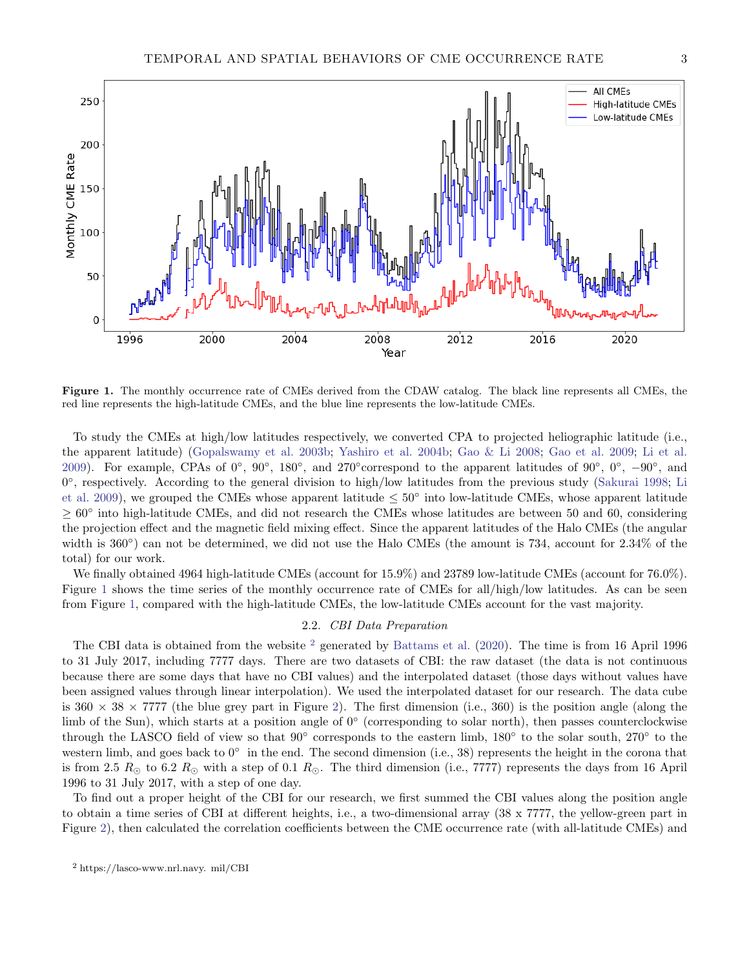



<span id="page-2-0"></span>Figure 1. The monthly occurrence rate of CMEs derived from the CDAW catalog. The black line represents all CMEs, the red line represents the high-latitude CMEs, and the blue line represents the low-latitude CMEs.

To study the CMEs at high/low latitudes respectively, we converted CPA to projected heliographic latitude (i.e., the apparent latitude) [\(Gopalswamy et al.](#page-9-15) [2003b;](#page-9-15) [Yashiro et al.](#page-10-21) [2004b;](#page-10-21) [Gao & Li](#page-9-2) [2008;](#page-9-2) [Gao et al.](#page-9-16) [2009;](#page-9-16) [Li et al.](#page-10-22) [2009\)](#page-10-22). For example, CPAs of  $0°$ ,  $90°$ ,  $180°$ , and  $270°$  correspond to the apparent latitudes of  $90°$ ,  $0°$ ,  $-90°$ , and 0 ◦ , respectively. According to the general division to high/low latitudes from the previous study [\(Sakurai](#page-10-23) [1998;](#page-10-23) [Li](#page-10-22) [et al.](#page-10-22) [2009\)](#page-10-22), we grouped the CMEs whose apparent latitude  $\leq 50^{\circ}$  into low-latitude CMEs, whose apparent latitude  $\geq 60^{\circ}$  into high-latitude CMEs, and did not research the CMEs whose latitudes are between 50 and 60, considering the projection effect and the magnetic field mixing effect. Since the apparent latitudes of the Halo CMEs (the angular width is 360<sup>°</sup>) can not be determined, we did not use the Halo CMEs (the amount is 734, account for 2.34% of the total) for our work.

We finally obtained 4964 high-latitude CMEs (account for 15.9%) and 23789 low-latitude CMEs (account for 76.0%). Figure [1](#page-2-0) shows the time series of the monthly occurrence rate of CMEs for all/high/low latitudes. As can be seen from Figure [1,](#page-2-0) compared with the high-latitude CMEs, the low-latitude CMEs account for the vast majority.

# 2.2. CBI Data Preparation

The CBI data is obtained from the website <sup>[2](#page-2-1)</sup> generated by [Battams et al.](#page-9-12) [\(2020\)](#page-9-12). The time is from 16 April 1996 to 31 July 2017, including 7777 days. There are two datasets of CBI: the raw dataset (the data is not continuous because there are some days that have no CBI values) and the interpolated dataset (those days without values have been assigned values through linear interpolation). We used the interpolated dataset for our research. The data cube is  $360 \times 38 \times 7777$  (the blue grey part in Figure [2\)](#page-3-0). The first dimension (i.e., 360) is the position angle (along the limb of the Sun), which starts at a position angle of 0<sup>°</sup> (corresponding to solar north), then passes counterclockwise through the LASCO field of view so that 90° corresponds to the eastern limb, 180° to the solar south, 270° to the western limb, and goes back to 0° in the end. The second dimension (i.e., 38) represents the height in the corona that is from 2.5  $R_{\odot}$  to 6.2  $R_{\odot}$  with a step of 0.1  $R_{\odot}$ . The third dimension (i.e., 7777) represents the days from 16 April 1996 to 31 July 2017, with a step of one day.

To find out a proper height of the CBI for our research, we first summed the CBI values along the position angle to obtain a time series of CBI at different heights, i.e., a two-dimensional array (38 x 7777, the yellow-green part in Figure [2\)](#page-3-0), then calculated the correlation coefficients between the CME occurrence rate (with all-latitude CMEs) and

<span id="page-2-1"></span><sup>2</sup> https://lasco-www.nrl.navy. mil/CBI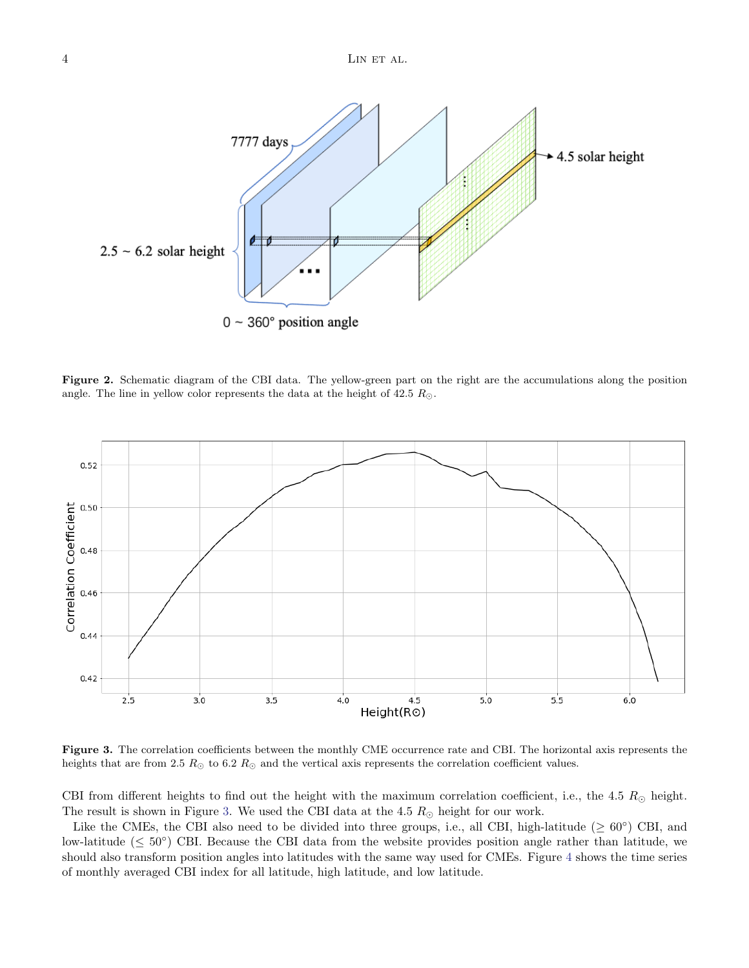

<span id="page-3-0"></span>Figure 2. Schematic diagram of the CBI data. The yellow-green part on the right are the accumulations along the position angle. The line in yellow color represents the data at the height of  $42.5 R_{\odot}$ .



<span id="page-3-1"></span>Figure 3. The correlation coefficients between the monthly CME occurrence rate and CBI. The horizontal axis represents the heights that are from 2.5  $R_{\odot}$  to 6.2  $R_{\odot}$  and the vertical axis represents the correlation coefficient values.

CBI from different heights to find out the height with the maximum correlation coefficient, i.e., the 4.5  $R_{\odot}$  height. The result is shown in Figure [3.](#page-3-1) We used the CBI data at the 4.5  $R_{\odot}$  height for our work.

Like the CMEs, the CBI also need to be divided into three groups, i.e., all CBI, high-latitude ( $\geq 60^{\circ}$ ) CBI, and low-latitude ( $\leq 50^{\circ}$ ) CBI. Because the CBI data from the website provides position angle rather than latitude, we should also transform position angles into latitudes with the same way used for CMEs. Figure [4](#page-4-1) shows the time series of monthly averaged CBI index for all latitude, high latitude, and low latitude.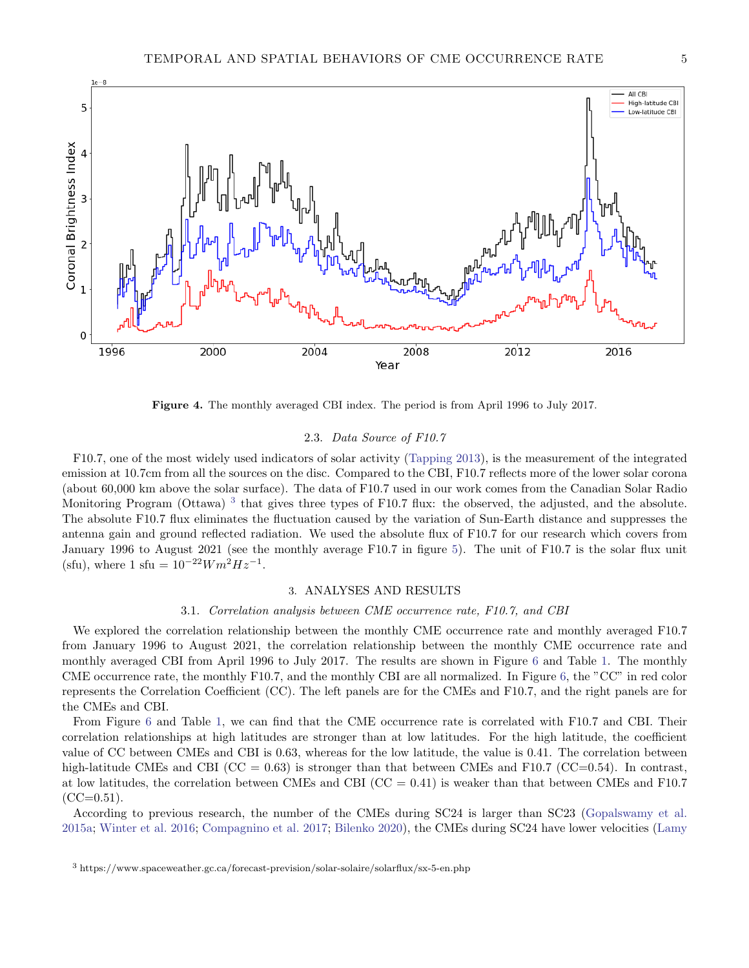

Figure 4. The monthly averaged CBI index. The period is from April 1996 to July 2017.

# 2.3. Data Source of F10.7

<span id="page-4-1"></span>F10.7, one of the most widely used indicators of solar activity [\(Tapping](#page-10-24) [2013\)](#page-10-24), is the measurement of the integrated emission at 10.7cm from all the sources on the disc. Compared to the CBI, F10.7 reflects more of the lower solar corona (about 60,000 km above the solar surface). The data of F10.7 used in our work comes from the Canadian Solar Radio Monitoring Program (Ottawa)<sup>[3](#page-4-2)</sup> that gives three types of F10.7 flux: the observed, the adjusted, and the absolute. The absolute F10.7 flux eliminates the fluctuation caused by the variation of Sun-Earth distance and suppresses the antenna gain and ground reflected radiation. We used the absolute flux of F10.7 for our research which covers from January 1996 to August 2021 (see the monthly average F10.7 in figure [5\)](#page-5-0). The unit of F10.7 is the solar flux unit (sfu), where 1 sfu =  $10^{-22} W m^2 Hz^{-1}$ .

#### 3. ANALYSES AND RESULTS

### 3.1. Correlation analysis between CME occurrence rate, F10.7, and CBI

<span id="page-4-0"></span>We explored the correlation relationship between the monthly CME occurrence rate and monthly averaged F10.7 from January 1996 to August 2021, the correlation relationship between the monthly CME occurrence rate and monthly averaged CBI from April 1996 to July 2017. The results are shown in Figure [6](#page-6-1) and Table [1.](#page-5-1) The monthly CME occurrence rate, the monthly F10.7, and the monthly CBI are all normalized. In Figure [6,](#page-6-1) the "CC" in red color represents the Correlation Coefficient (CC). The left panels are for the CMEs and F10.7, and the right panels are for the CMEs and CBI.

From Figure [6](#page-6-1) and Table [1,](#page-5-1) we can find that the CME occurrence rate is correlated with F10.7 and CBI. Their correlation relationships at high latitudes are stronger than at low latitudes. For the high latitude, the coefficient value of CC between CMEs and CBI is 0.63, whereas for the low latitude, the value is 0.41. The correlation between high-latitude CMEs and CBI ( $CC = 0.63$ ) is stronger than that between CMEs and F10.7 ( $CC=0.54$ ). In contrast, at low latitudes, the correlation between CMEs and CBI ( $CC = 0.41$ ) is weaker than that between CMEs and F10.7  $(CC=0.51)$ .

According to previous research, the number of the CMEs during SC24 is larger than SC23 [\(Gopalswamy et al.](#page-10-7) [2015a;](#page-10-7) [Winter et al.](#page-10-8) [2016;](#page-10-8) [Compagnino et al.](#page-9-7) [2017;](#page-9-7) [Bilenko](#page-9-8) [2020\)](#page-9-8), the CMEs during SC24 have lower velocities [\(Lamy](#page-10-5)

<span id="page-4-2"></span><sup>3</sup> [https://www.spaceweather.gc.ca/forecast-prevision/solar-solaire/solarflux/sx-5-en.php](#page-10-5)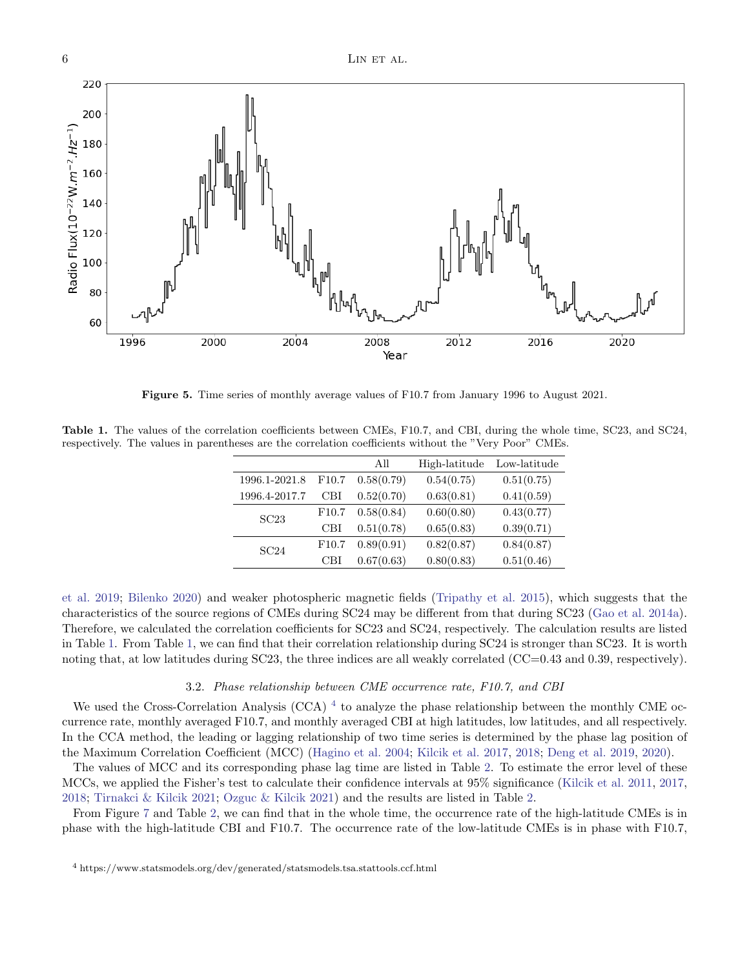60 2008 1996 2000 2004 2012 2016 2020 Year

Figure 5. Time series of monthly average values of F10.7 from January 1996 to August 2021.

<span id="page-5-1"></span><span id="page-5-0"></span>Table 1. The values of the correlation coefficients between CMEs, F10.7, and CBI, during the whole time, SC23, and SC24, respectively. The values in parentheses are the correlation coefficients without the "Very Poor" CMEs.

|               |       | All        | High-latitude | Low-latitude |
|---------------|-------|------------|---------------|--------------|
| 1996.1-2021.8 | F10.7 | 0.58(0.79) | 0.54(0.75)    | 0.51(0.75)   |
| 1996.4-2017.7 | CBI   | 0.52(0.70) | 0.63(0.81)    | 0.41(0.59)   |
| SC23          | F10.7 | 0.58(0.84) | 0.60(0.80)    | 0.43(0.77)   |
|               | CBI   | 0.51(0.78) | 0.65(0.83)    | 0.39(0.71)   |
| SC24          | F10.7 | 0.89(0.91) | 0.82(0.87)    | 0.84(0.87)   |
|               | CBI   | 0.67(0.63) | 0.80(0.83)    | 0.51(0.46)   |

[et al.](#page-10-5) [2019;](#page-10-5) [Bilenko](#page-9-8) [2020\)](#page-9-8) and weaker photospheric magnetic fields [\(Tripathy et al.](#page-10-25) [2015\)](#page-10-25), which suggests that the characteristics of the source regions of CMEs during SC24 may be different from that during SC23 [\(Gao et al.](#page-9-17) [2014a\)](#page-9-17). Therefore, we calculated the correlation coefficients for SC23 and SC24, respectively. The calculation results are listed in Table [1.](#page-5-1) From Table [1,](#page-5-1) we can find that their correlation relationship during SC24 is stronger than SC23. It is worth noting that, at low latitudes during SC23, the three indices are all weakly correlated (CC=0.43 and 0.39, respectively).

# 3.2. Phase relationship between CME occurrence rate, F10.7, and CBI

We used the Cross-Correlation Analysis (CCA)  $^4$  $^4$  to analyze the phase relationship between the monthly CME occurrence rate, monthly averaged F10.7, and monthly averaged CBI at high latitudes, low latitudes, and all respectively. In the CCA method, the leading or lagging relationship of two time series is determined by the phase lag position of the Maximum Correlation Coefficient (MCC) [\(Hagino et al.](#page-10-26) [2004;](#page-10-26) [Kilcik et al.](#page-10-12) [2017,](#page-10-12) [2018;](#page-10-27) [Deng et al.](#page-9-18) [2019,](#page-9-18) [2020\)](#page-9-19).

The values of MCC and its corresponding phase lag time are listed in Table [2.](#page-6-2) To estimate the error level of these MCCs, we applied the Fisher's test to calculate their confidence intervals at 95% significance [\(Kilcik et al.](#page-10-11) [2011,](#page-10-11) [2017,](#page-10-12) [2018;](#page-10-27) [Tirnakci & Kilcik](#page-10-28) [2021;](#page-10-28) [Ozguc & Kilcik](#page-10-29) [2021\)](#page-10-29) and the results are listed in Table [2.](#page-6-2)

<span id="page-5-2"></span>From Figure [7](#page-7-0) and Table [2,](#page-6-2) we can find that in the whole time, the occurrence rate of the high-latitude CMEs is in phase with the high-latitude CBI and F10.7. The occurrence rate of the low-latitude CMEs is in phase with F10.7,

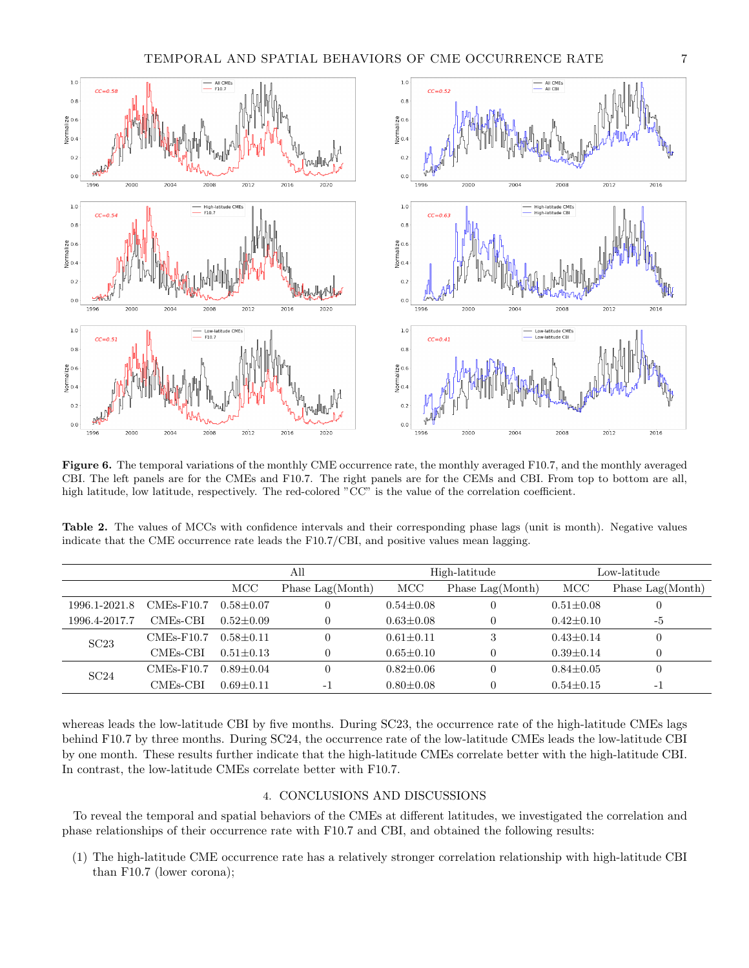

<span id="page-6-1"></span>Figure 6. The temporal variations of the monthly CME occurrence rate, the monthly averaged F10.7, and the monthly averaged CBI. The left panels are for the CMEs and F10.7. The right panels are for the CEMs and CBI. From top to bottom are all, high latitude, low latitude, respectively. The red-colored "CC" is the value of the correlation coefficient.

<span id="page-6-2"></span>Table 2. The values of MCCs with confidence intervals and their corresponding phase lags (unit is month). Negative values indicate that the CME occurrence rate leads the F10.7/CBI, and positive values mean lagging.

|               |                       | All             |                          | High-latitude   |                                  | Low-latitude    |                  |
|---------------|-----------------------|-----------------|--------------------------|-----------------|----------------------------------|-----------------|------------------|
|               |                       | MCC             | Phase Lag(Month)         | MCC             | Phase $\text{Lag}(\text{Month})$ | MCC             | Phase Lag(Month) |
| 1996.1-2021.8 | $CMEs-F10.7$          | $0.58 \pm 0.07$ |                          | $0.54 \pm 0.08$ | $\theta$                         | $0.51 \pm 0.08$ |                  |
| 1996.4-2017.7 | CME <sub>s</sub> -CBI | $0.52 + 0.09$   |                          | $0.63 \pm 0.08$ | $\Omega$                         | $0.42 \pm 0.10$ | $-5$             |
| SC23          | $CMEs-F10.7$          | $0.58 + 0.11$   |                          | $0.61 \pm 0.11$ | 3                                | $0.43 \pm 0.14$ |                  |
|               | CME <sub>s</sub> -CBI | $0.51 \pm 0.13$ |                          | $0.65 \pm 0.10$ |                                  | $0.39 \pm 0.14$ |                  |
| SC24          | $CMEs-F10.7$          | $0.89 + 0.04$   |                          | $0.82 \pm 0.06$ |                                  | $0.84 + 0.05$   |                  |
|               | CME <sub>s</sub> -CBI | $0.69 \pm 0.11$ | $\overline{\phantom{0}}$ | $0.80 \pm 0.08$ |                                  | $0.54 \pm 0.15$ | - 1              |

whereas leads the low-latitude CBI by five months. During SC23, the occurrence rate of the high-latitude CMEs lags behind F10.7 by three months. During SC24, the occurrence rate of the low-latitude CMEs leads the low-latitude CBI by one month. These results further indicate that the high-latitude CMEs correlate better with the high-latitude CBI. In contrast, the low-latitude CMEs correlate better with F10.7.

# 4. CONCLUSIONS AND DISCUSSIONS

<span id="page-6-0"></span>To reveal the temporal and spatial behaviors of the CMEs at different latitudes, we investigated the correlation and phase relationships of their occurrence rate with F10.7 and CBI, and obtained the following results:

(1) The high-latitude CME occurrence rate has a relatively stronger correlation relationship with high-latitude CBI than F10.7 (lower corona);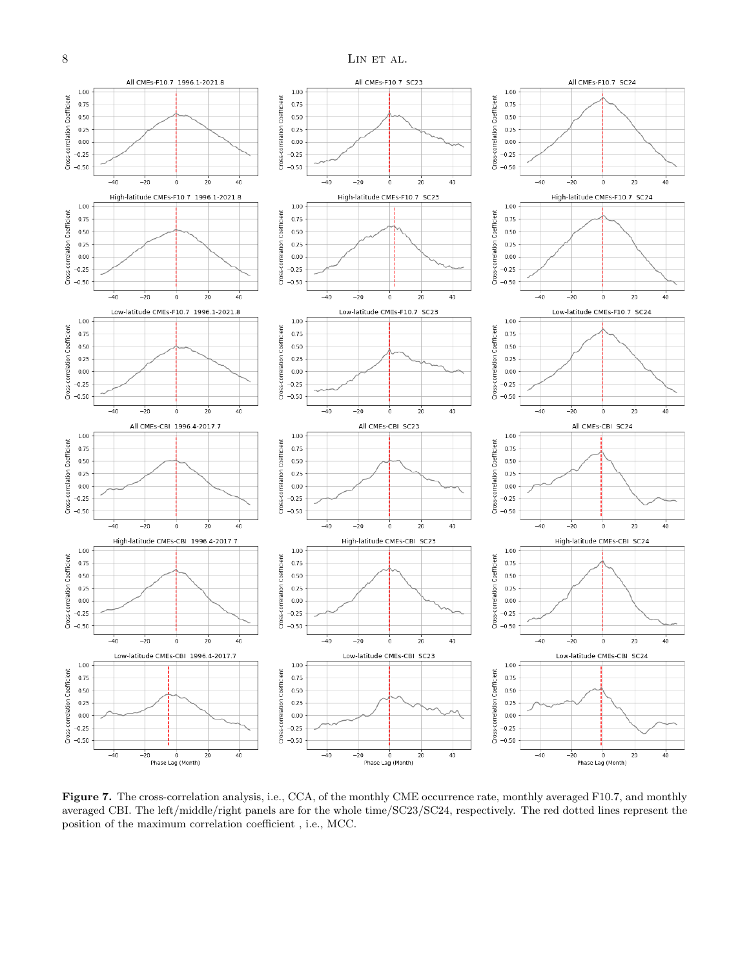

<span id="page-7-0"></span>Figure 7. The cross-correlation analysis, i.e., CCA, of the monthly CME occurrence rate, monthly averaged F10.7, and monthly averaged CBI. The left/middle/right panels are for the whole time/SC23/SC24, respectively. The red dotted lines represent the position of the maximum correlation coefficient , i.e., MCC.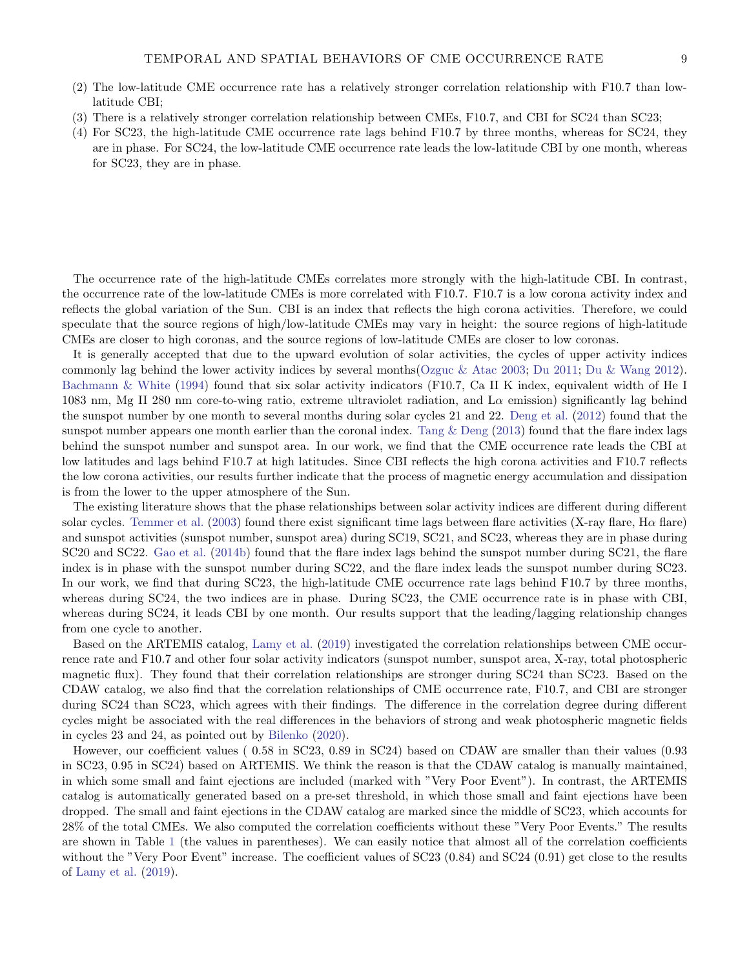### TEMPORAL AND SPATIAL BEHAVIORS OF CME OCCURRENCE RATE 9

- (2) The low-latitude CME occurrence rate has a relatively stronger correlation relationship with F10.7 than lowlatitude CBI;
- (3) There is a relatively stronger correlation relationship between CMEs, F10.7, and CBI for SC24 than SC23;
- (4) For SC23, the high-latitude CME occurrence rate lags behind F10.7 by three months, whereas for SC24, they are in phase. For SC24, the low-latitude CME occurrence rate leads the low-latitude CBI by one month, whereas for SC23, they are in phase.

The occurrence rate of the high-latitude CMEs correlates more strongly with the high-latitude CBI. In contrast, the occurrence rate of the low-latitude CMEs is more correlated with F10.7. F10.7 is a low corona activity index and reflects the global variation of the Sun. CBI is an index that reflects the high corona activities. Therefore, we could speculate that the source regions of high/low-latitude CMEs may vary in height: the source regions of high-latitude CMEs are closer to high coronas, and the source regions of low-latitude CMEs are closer to low coronas.

It is generally accepted that due to the upward evolution of solar activities, the cycles of upper activity indices commonly lag behind the lower activity indices by several months[\(Ozguc & Atac](#page-10-30) [2003;](#page-10-30) [Du](#page-9-20) [2011;](#page-9-20) [Du & Wang](#page-9-21) [2012\)](#page-9-21). [Bachmann & White](#page-9-22) [\(1994\)](#page-9-22) found that six solar activity indicators (F10.7, Ca II K index, equivalent width of He I 1083 nm, Mg II 280 nm core-to-wing ratio, extreme ultraviolet radiation, and L $\alpha$  emission) significantly lag behind the sunspot number by one month to several months during solar cycles 21 and 22. [Deng et al.](#page-9-23) [\(2012\)](#page-9-23) found that the sunspot number appears one month earlier than the coronal index. Tang  $&$  Deng [\(2013\)](#page-10-31) found that the flare index lags behind the sunspot number and sunspot area. In our work, we find that the CME occurrence rate leads the CBI at low latitudes and lags behind F10.7 at high latitudes. Since CBI reflects the high corona activities and F10.7 reflects the low corona activities, our results further indicate that the process of magnetic energy accumulation and dissipation is from the lower to the upper atmosphere of the Sun.

The existing literature shows that the phase relationships between solar activity indices are different during different solar cycles. [Temmer et al.](#page-10-32) [\(2003\)](#page-10-32) found there exist significant time lags between flare activities (X-ray flare,  $H\alpha$  flare) and sunspot activities (sunspot number, sunspot area) during SC19, SC21, and SC23, whereas they are in phase during SC20 and SC22. [Gao et al.](#page-9-24) [\(2014b\)](#page-9-24) found that the flare index lags behind the sunspot number during SC21, the flare index is in phase with the sunspot number during SC22, and the flare index leads the sunspot number during SC23. In our work, we find that during SC23, the high-latitude CME occurrence rate lags behind F10.7 by three months, whereas during SC24, the two indices are in phase. During SC23, the CME occurrence rate is in phase with CBI, whereas during SC24, it leads CBI by one month. Our results support that the leading/lagging relationship changes from one cycle to another.

Based on the ARTEMIS catalog, [Lamy et al.](#page-10-5) [\(2019\)](#page-10-5) investigated the correlation relationships between CME occurrence rate and F10.7 and other four solar activity indicators (sunspot number, sunspot area, X-ray, total photospheric magnetic flux). They found that their correlation relationships are stronger during SC24 than SC23. Based on the CDAW catalog, we also find that the correlation relationships of CME occurrence rate, F10.7, and CBI are stronger during SC24 than SC23, which agrees with their findings. The difference in the correlation degree during different cycles might be associated with the real differences in the behaviors of strong and weak photospheric magnetic fields in cycles 23 and 24, as pointed out by [Bilenko](#page-9-8) [\(2020\)](#page-9-8).

However, our coefficient values ( 0.58 in SC23, 0.89 in SC24) based on CDAW are smaller than their values (0.93 in SC23, 0.95 in SC24) based on ARTEMIS. We think the reason is that the CDAW catalog is manually maintained, in which some small and faint ejections are included (marked with "Very Poor Event"). In contrast, the ARTEMIS catalog is automatically generated based on a pre-set threshold, in which those small and faint ejections have been dropped. The small and faint ejections in the CDAW catalog are marked since the middle of SC23, which accounts for 28% of the total CMEs. We also computed the correlation coefficients without these "Very Poor Events." The results are shown in Table [1](#page-5-1) (the values in parentheses). We can easily notice that almost all of the correlation coefficients without the "Very Poor Event" increase. The coefficient values of SC23 (0.84) and SC24 (0.91) get close to the results of [Lamy et al.](#page-10-5) [\(2019\)](#page-10-5).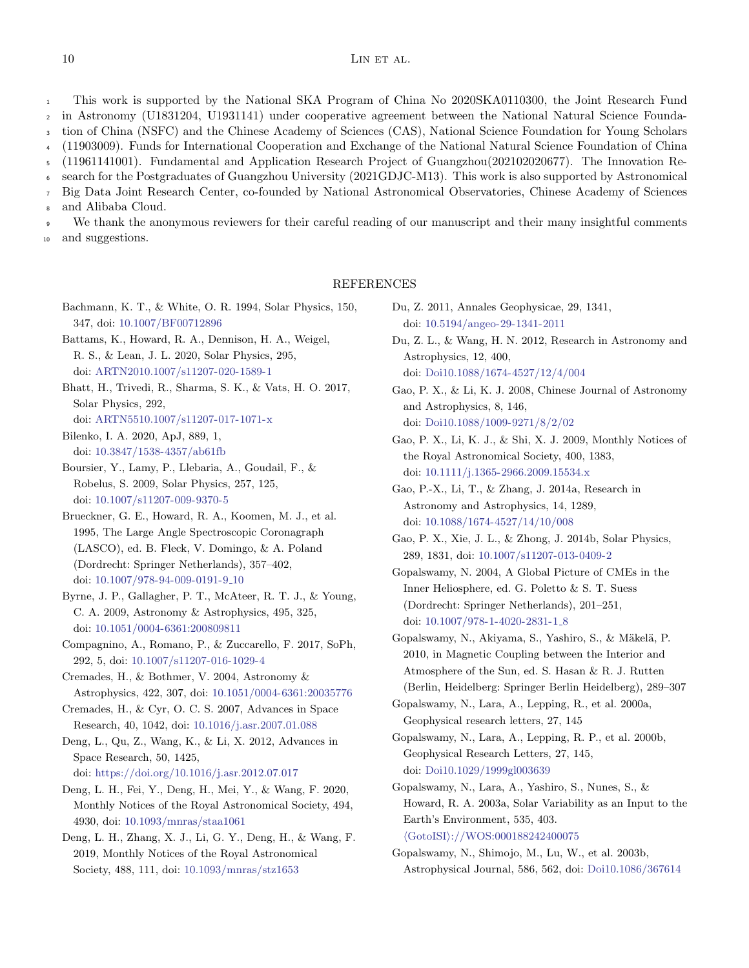# $10$  LIN ET AL.

This work is supported by the National SKA Program of China No 2020SKA0110300, the Joint Research Fund in Astronomy (U1831204, U1931141) under cooperative agreement between the National Natural Science Foundation of China (NSFC) and the Chinese Academy of Sciences (CAS), National Science Foundation for Young Scholars (11903009). Funds for International Cooperation and Exchange of the National Natural Science Foundation of China (11961141001). Fundamental and Application Research Project of Guangzhou(202102020677). The Innovation Research for the Postgraduates of Guangzhou University (2021GDJC-M13). This work is also supported by Astronomical Big Data Joint Research Center, co-founded by National Astronomical Observatories, Chinese Academy of Sciences and Alibaba Cloud. 1 2 3 4 5 6 7 8

We thank the anonymous reviewers for their careful reading of our manuscript and their many insightful comments and suggestions. 9 10

## REFERENCES

- <span id="page-9-22"></span>Bachmann, K. T., & White, O. R. 1994, Solar Physics, 150, 347, doi: [10.1007/BF00712896](http://doi.org/10.1007/BF00712896)
- <span id="page-9-12"></span>Battams, K., Howard, R. A., Dennison, H. A., Weigel, R. S., & Lean, J. L. 2020, Solar Physics, 295, doi: [ARTN2010.1007/s11207-020-1589-1](http://doi.org/ARTN 20 10.1007/s11207-020-1589-1)
- <span id="page-9-11"></span>Bhatt, H., Trivedi, R., Sharma, S. K., & Vats, H. O. 2017, Solar Physics, 292,

doi: [ARTN5510.1007/s11207-017-1071-x](http://doi.org/ARTN 55 10.1007/s11207-017-1071-x)

- <span id="page-9-8"></span>Bilenko, I. A. 2020, ApJ, 889, 1, doi: [10.3847/1538-4357/ab61fb](http://doi.org/10.3847/1538-4357/ab61fb)
- <span id="page-9-13"></span>Boursier, Y., Lamy, P., Llebaria, A., Goudail, F., & Robelus, S. 2009, Solar Physics, 257, 125, doi: [10.1007/s11207-009-9370-5](http://doi.org/10.1007/s11207-009-9370-5)
- <span id="page-9-1"></span>Brueckner, G. E., Howard, R. A., Koomen, M. J., et al. 1995, The Large Angle Spectroscopic Coronagraph (LASCO), ed. B. Fleck, V. Domingo, & A. Poland (Dordrecht: Springer Netherlands), 357–402, doi: [10.1007/978-94-009-0191-9](http://doi.org/10.1007/978-94-009-0191-9_10) 10
- <span id="page-9-14"></span>Byrne, J. P., Gallagher, P. T., McAteer, R. T. J., & Young, C. A. 2009, Astronomy & Astrophysics, 495, 325, doi: [10.1051/0004-6361:200809811](http://doi.org/10.1051/0004-6361:200809811)
- <span id="page-9-7"></span>Compagnino, A., Romano, P., & Zuccarello, F. 2017, SoPh, 292, 5, doi: [10.1007/s11207-016-1029-4](http://doi.org/10.1007/s11207-016-1029-4)
- <span id="page-9-4"></span>Cremades, H., & Bothmer, V. 2004, Astronomy & Astrophysics, 422, 307, doi: [10.1051/0004-6361:20035776](http://doi.org/10.1051/0004-6361:20035776)
- <span id="page-9-10"></span>Cremades, H., & Cyr, O. C. S. 2007, Advances in Space Research, 40, 1042, doi: [10.1016/j.asr.2007.01.088](http://doi.org/10.1016/j.asr.2007.01.088)

<span id="page-9-23"></span>Deng, L., Qu, Z., Wang, K., & Li, X. 2012, Advances in Space Research, 50, 1425, doi: [https://doi.org/10.1016/j.asr.2012.07.017](http://doi.org/https://doi.org/10.1016/j.asr.2012.07.017)

<span id="page-9-19"></span>Deng, L. H., Fei, Y., Deng, H., Mei, Y., & Wang, F. 2020, Monthly Notices of the Royal Astronomical Society, 494, 4930, doi: [10.1093/mnras/staa1061](http://doi.org/10.1093/mnras/staa1061)

<span id="page-9-18"></span>Deng, L. H., Zhang, X. J., Li, G. Y., Deng, H., & Wang, F. 2019, Monthly Notices of the Royal Astronomical Society, 488, 111, doi: [10.1093/mnras/stz1653](http://doi.org/10.1093/mnras/stz1653)

<span id="page-9-20"></span>Du, Z. 2011, Annales Geophysicae, 29, 1341, doi: [10.5194/angeo-29-1341-2011](http://doi.org/10.5194/angeo-29-1341-2011)

- <span id="page-9-21"></span>Du, Z. L., & Wang, H. N. 2012, Research in Astronomy and Astrophysics, 12, 400, doi: [Doi10.1088/1674-4527/12/4/004](http://doi.org/Doi 10.1088/1674-4527/12/4/004)
- <span id="page-9-2"></span>Gao, P. X., & Li, K. J. 2008, Chinese Journal of Astronomy and Astrophysics, 8, 146, doi: [Doi10.1088/1009-9271/8/2/02](http://doi.org/Doi 10.1088/1009-9271/8/2/02)
- <span id="page-9-16"></span>Gao, P. X., Li, K. J., & Shi, X. J. 2009, Monthly Notices of the Royal Astronomical Society, 400, 1383, doi: [10.1111/j.1365-2966.2009.15534.x](http://doi.org/10.1111/j.1365-2966.2009.15534.x)
- <span id="page-9-17"></span>Gao, P.-X., Li, T., & Zhang, J. 2014a, Research in Astronomy and Astrophysics, 14, 1289, doi: [10.1088/1674-4527/14/10/008](http://doi.org/10.1088/1674-4527/14/10/008)
- <span id="page-9-24"></span>Gao, P. X., Xie, J. L., & Zhong, J. 2014b, Solar Physics, 289, 1831, doi: [10.1007/s11207-013-0409-2](http://doi.org/10.1007/s11207-013-0409-2)
- <span id="page-9-5"></span>Gopalswamy, N. 2004, A Global Picture of CMEs in the Inner Heliosphere, ed. G. Poletto & S. T. Suess (Dordrecht: Springer Netherlands), 201–251, doi: [10.1007/978-1-4020-2831-1](http://doi.org/10.1007/978-1-4020-2831-1_8)<sub>-8</sub>
- <span id="page-9-9"></span>Gopalswamy, N., Akiyama, S., Yashiro, S., & Mäkelä, P. 2010, in Magnetic Coupling between the Interior and Atmosphere of the Sun, ed. S. Hasan & R. J. Rutten (Berlin, Heidelberg: Springer Berlin Heidelberg), 289–307
- <span id="page-9-0"></span>Gopalswamy, N., Lara, A., Lepping, R., et al. 2000a, Geophysical research letters, 27, 145
- <span id="page-9-3"></span>Gopalswamy, N., Lara, A., Lepping, R. P., et al. 2000b, Geophysical Research Letters, 27, 145, doi: [Doi10.1029/1999gl003639](http://doi.org/Doi 10.1029/1999gl003639)
- <span id="page-9-6"></span>Gopalswamy, N., Lara, A., Yashiro, S., Nunes, S., & Howard, R. A. 2003a, Solar Variability as an Input to the Earth's Environment, 535, 403. hGotoISIi[://WOS:000188242400075](<Go to ISI>://WOS:000188242400075)

<span id="page-9-15"></span>Gopalswamy, N., Shimojo, M., Lu, W., et al. 2003b, Astrophysical Journal, 586, 562, doi: [Doi10.1086/367614](http://doi.org/Doi 10.1086/367614)